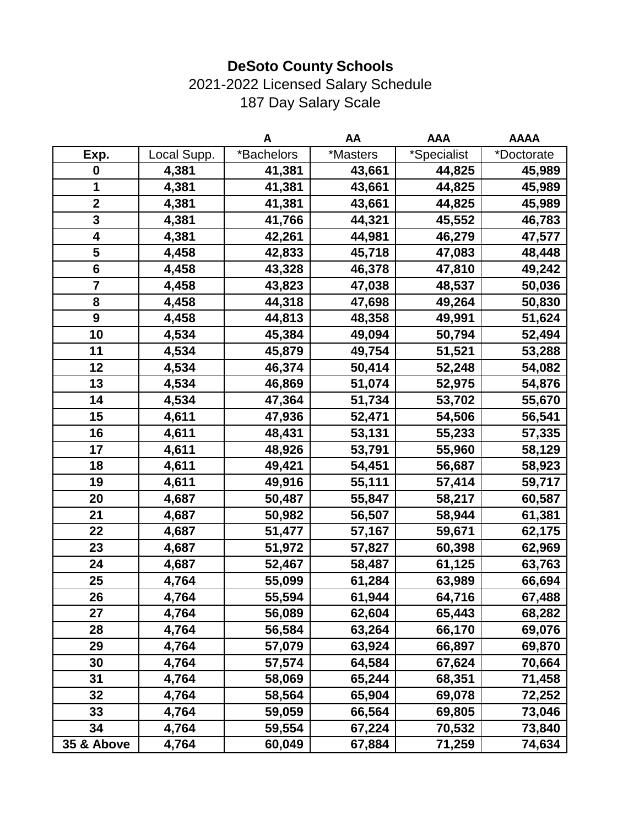## 2021-2022 Licensed Salary Schedule 187 Day Salary Scale

|                         |             | A          | AA       | <b>AAA</b>  | <b>AAAA</b> |
|-------------------------|-------------|------------|----------|-------------|-------------|
| Exp.                    | Local Supp. | *Bachelors | *Masters | *Specialist | *Doctorate  |
| $\boldsymbol{0}$        | 4,381       | 41,381     | 43,661   | 44,825      | 45,989      |
| 1                       | 4,381       | 41,381     | 43,661   | 44,825      | 45,989      |
| $\overline{\mathbf{2}}$ | 4,381       | 41,381     | 43,661   | 44,825      | 45,989      |
| 3                       | 4,381       | 41,766     | 44,321   | 45,552      | 46,783      |
| 4                       | 4,381       | 42,261     | 44,981   | 46,279      | 47,577      |
| 5                       | 4,458       | 42,833     | 45,718   | 47,083      | 48,448      |
| $6\phantom{1}$          | 4,458       | 43,328     | 46,378   | 47,810      | 49,242      |
| $\overline{\mathbf{7}}$ | 4,458       | 43,823     | 47,038   | 48,537      | 50,036      |
| 8                       | 4,458       | 44,318     | 47,698   | 49,264      | 50,830      |
| $\boldsymbol{9}$        | 4,458       | 44,813     | 48,358   | 49,991      | 51,624      |
| 10                      | 4,534       | 45,384     | 49,094   | 50,794      | 52,494      |
| 11                      | 4,534       | 45,879     | 49,754   | 51,521      | 53,288      |
| 12                      | 4,534       | 46,374     | 50,414   | 52,248      | 54,082      |
| 13                      | 4,534       | 46,869     | 51,074   | 52,975      | 54,876      |
| 14                      | 4,534       | 47,364     | 51,734   | 53,702      | 55,670      |
| 15                      | 4,611       | 47,936     | 52,471   | 54,506      | 56,541      |
| 16                      | 4,611       | 48,431     | 53,131   | 55,233      | 57,335      |
| 17                      | 4,611       | 48,926     | 53,791   | 55,960      | 58,129      |
| 18                      | 4,611       | 49,421     | 54,451   | 56,687      | 58,923      |
| 19                      | 4,611       | 49,916     | 55,111   | 57,414      | 59,717      |
| 20                      | 4,687       | 50,487     | 55,847   | 58,217      | 60,587      |
| 21                      | 4,687       | 50,982     | 56,507   | 58,944      | 61,381      |
| 22                      | 4,687       | 51,477     | 57,167   | 59,671      | 62,175      |
| 23                      | 4,687       | 51,972     | 57,827   | 60,398      | 62,969      |
| 24                      | 4,687       | 52,467     | 58,487   | 61,125      | 63,763      |
| 25                      | 4,764       | 55,099     | 61,284   | 63,989      | 66,694      |
| 26                      | 4,764       | 55,594     | 61,944   | 64,716      | 67,488      |
| 27                      | 4,764       | 56,089     | 62,604   | 65,443      | 68,282      |
| 28                      | 4,764       | 56,584     | 63,264   | 66,170      | 69,076      |
| 29                      | 4,764       | 57,079     | 63,924   | 66,897      | 69,870      |
| 30                      | 4,764       | 57,574     | 64,584   | 67,624      | 70,664      |
| 31                      | 4,764       | 58,069     | 65,244   | 68,351      | 71,458      |
| 32                      | 4,764       | 58,564     | 65,904   | 69,078      | 72,252      |
| 33                      | 4,764       | 59,059     | 66,564   | 69,805      | 73,046      |
| 34                      | 4,764       | 59,554     | 67,224   | 70,532      | 73,840      |
| 35 & Above              | 4,764       | 60,049     | 67,884   | 71,259      | 74,634      |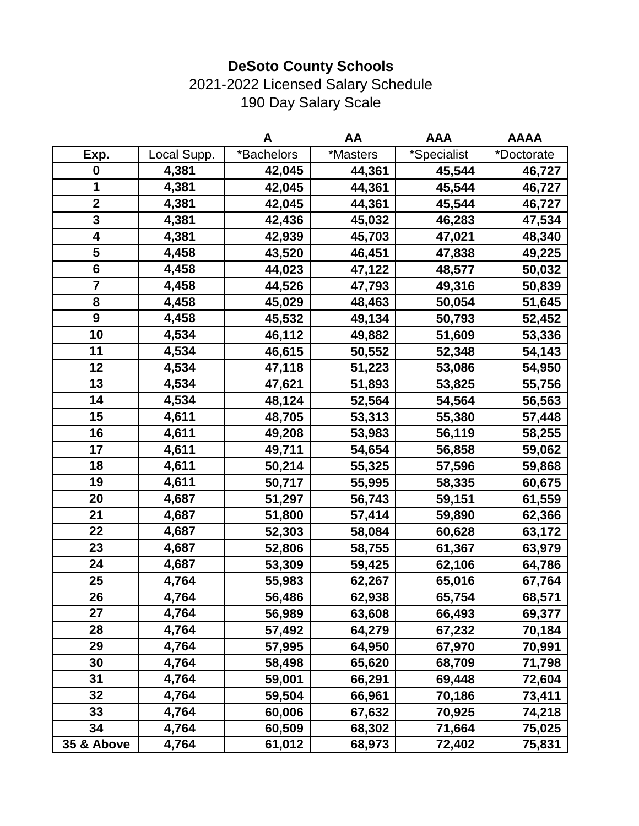## 2021-2022 Licensed Salary Schedule 190 Day Salary Scale

|                  |             | A          | AA       | <b>AAA</b>  | <b>AAAA</b> |
|------------------|-------------|------------|----------|-------------|-------------|
| Exp.             | Local Supp. | *Bachelors | *Masters | *Specialist | *Doctorate  |
| $\boldsymbol{0}$ | 4,381       | 42,045     | 44,361   | 45,544      | 46,727      |
| 1                | 4,381       | 42,045     | 44,361   | 45,544      | 46,727      |
| $\overline{2}$   | 4,381       | 42,045     | 44,361   | 45,544      | 46,727      |
| 3                | 4,381       | 42,436     | 45,032   | 46,283      | 47,534      |
| 4                | 4,381       | 42,939     | 45,703   | 47,021      | 48,340      |
| 5                | 4,458       | 43,520     | 46,451   | 47,838      | 49,225      |
| $\bf 6$          | 4,458       | 44,023     | 47,122   | 48,577      | 50,032      |
| 7                | 4,458       | 44,526     | 47,793   | 49,316      | 50,839      |
| 8                | 4,458       | 45,029     | 48,463   | 50,054      | 51,645      |
| $\boldsymbol{9}$ | 4,458       | 45,532     | 49,134   | 50,793      | 52,452      |
| 10               | 4,534       | 46,112     | 49,882   | 51,609      | 53,336      |
| 11               | 4,534       | 46,615     | 50,552   | 52,348      | 54,143      |
| 12               | 4,534       | 47,118     | 51,223   | 53,086      | 54,950      |
| 13               | 4,534       | 47,621     | 51,893   | 53,825      | 55,756      |
| 14               | 4,534       | 48,124     | 52,564   | 54,564      | 56,563      |
| 15               | 4,611       | 48,705     | 53,313   | 55,380      | 57,448      |
| 16               | 4,611       | 49,208     | 53,983   | 56,119      | 58,255      |
| 17               | 4,611       | 49,711     | 54,654   | 56,858      | 59,062      |
| 18               | 4,611       | 50,214     | 55,325   | 57,596      | 59,868      |
| 19               | 4,611       | 50,717     | 55,995   | 58,335      | 60,675      |
| 20               | 4,687       | 51,297     | 56,743   | 59,151      | 61,559      |
| 21               | 4,687       | 51,800     | 57,414   | 59,890      | 62,366      |
| 22               | 4,687       | 52,303     | 58,084   | 60,628      | 63,172      |
| 23               | 4,687       | 52,806     | 58,755   | 61,367      | 63,979      |
| 24               | 4,687       | 53,309     | 59,425   | 62,106      | 64,786      |
| 25               | 4,764       | 55,983     | 62,267   | 65,016      | 67,764      |
| 26               | 4,764       | 56,486     | 62,938   | 65,754      | 68,571      |
| 27               | 4,764       | 56,989     | 63,608   | 66,493      | 69,377      |
| 28               | 4,764       | 57,492     | 64,279   | 67,232      | 70,184      |
| 29               | 4,764       | 57,995     | 64,950   | 67,970      | 70,991      |
| 30               | 4,764       | 58,498     | 65,620   | 68,709      | 71,798      |
| 31               | 4,764       | 59,001     | 66,291   | 69,448      | 72,604      |
| 32               | 4,764       | 59,504     | 66,961   | 70,186      | 73,411      |
| 33               | 4,764       | 60,006     | 67,632   | 70,925      | 74,218      |
| 34               | 4,764       | 60,509     | 68,302   | 71,664      | 75,025      |
| 35 & Above       | 4,764       | 61,012     | 68,973   | 72,402      | 75,831      |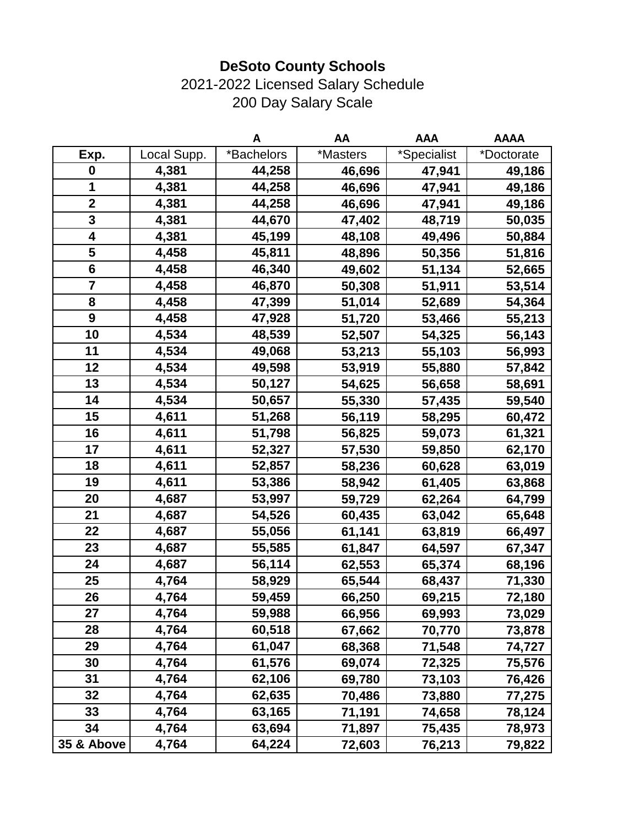## 2021-2022 Licensed Salary Schedule 200 Day Salary Scale

|                         |             | A          | AA       | <b>AAA</b>  | <b>AAAA</b> |
|-------------------------|-------------|------------|----------|-------------|-------------|
| Exp.                    | Local Supp. | *Bachelors | *Masters | *Specialist | *Doctorate  |
| 0                       | 4,381       | 44,258     | 46,696   | 47,941      | 49,186      |
| 1                       | 4,381       | 44,258     | 46,696   | 47,941      | 49,186      |
| $\mathbf 2$             | 4,381       | 44,258     | 46,696   | 47,941      | 49,186      |
| $\overline{\mathbf{3}}$ | 4,381       | 44,670     | 47,402   | 48,719      | 50,035      |
| 4                       | 4,381       | 45,199     | 48,108   | 49,496      | 50,884      |
| 5                       | 4,458       | 45,811     | 48,896   | 50,356      | 51,816      |
| $6\phantom{1}$          | 4,458       | 46,340     | 49,602   | 51,134      | 52,665      |
| 7                       | 4,458       | 46,870     | 50,308   | 51,911      | 53,514      |
| 8                       | 4,458       | 47,399     | 51,014   | 52,689      | 54,364      |
| $\boldsymbol{9}$        | 4,458       | 47,928     | 51,720   | 53,466      | 55,213      |
| 10                      | 4,534       | 48,539     | 52,507   | 54,325      | 56,143      |
| 11                      | 4,534       | 49,068     | 53,213   | 55,103      | 56,993      |
| 12                      | 4,534       | 49,598     | 53,919   | 55,880      | 57,842      |
| 13                      | 4,534       | 50,127     | 54,625   | 56,658      | 58,691      |
| 14                      | 4,534       | 50,657     | 55,330   | 57,435      | 59,540      |
| 15                      | 4,611       | 51,268     | 56,119   | 58,295      | 60,472      |
| 16                      | 4,611       | 51,798     | 56,825   | 59,073      | 61,321      |
| 17                      | 4,611       | 52,327     | 57,530   | 59,850      | 62,170      |
| 18                      | 4,611       | 52,857     | 58,236   | 60,628      | 63,019      |
| 19                      | 4,611       | 53,386     | 58,942   | 61,405      | 63,868      |
| 20                      | 4,687       | 53,997     | 59,729   | 62,264      | 64,799      |
| 21                      | 4,687       | 54,526     | 60,435   | 63,042      | 65,648      |
| 22                      | 4,687       | 55,056     | 61,141   | 63,819      | 66,497      |
| 23                      | 4,687       | 55,585     | 61,847   | 64,597      | 67,347      |
| 24                      | 4,687       | 56,114     | 62,553   | 65,374      | 68,196      |
| 25                      | 4,764       | 58,929     | 65,544   | 68,437      | 71,330      |
| 26                      | 4,764       | 59,459     | 66,250   | 69,215      | 72,180      |
| 27                      | 4,764       | 59,988     | 66,956   | 69,993      | 73,029      |
| 28                      | 4,764       | 60,518     | 67,662   | 70,770      | 73,878      |
| 29                      | 4,764       | 61,047     | 68,368   | 71,548      | 74,727      |
| 30                      | 4,764       | 61,576     | 69,074   | 72,325      | 75,576      |
| 31                      | 4,764       | 62,106     | 69,780   | 73,103      | 76,426      |
| 32                      | 4,764       | 62,635     | 70,486   | 73,880      | 77,275      |
| 33                      | 4,764       | 63,165     | 71,191   | 74,658      | 78,124      |
| 34                      | 4,764       | 63,694     | 71,897   | 75,435      | 78,973      |
| 35 & Above              | 4,764       | 64,224     | 72,603   | 76,213      | 79,822      |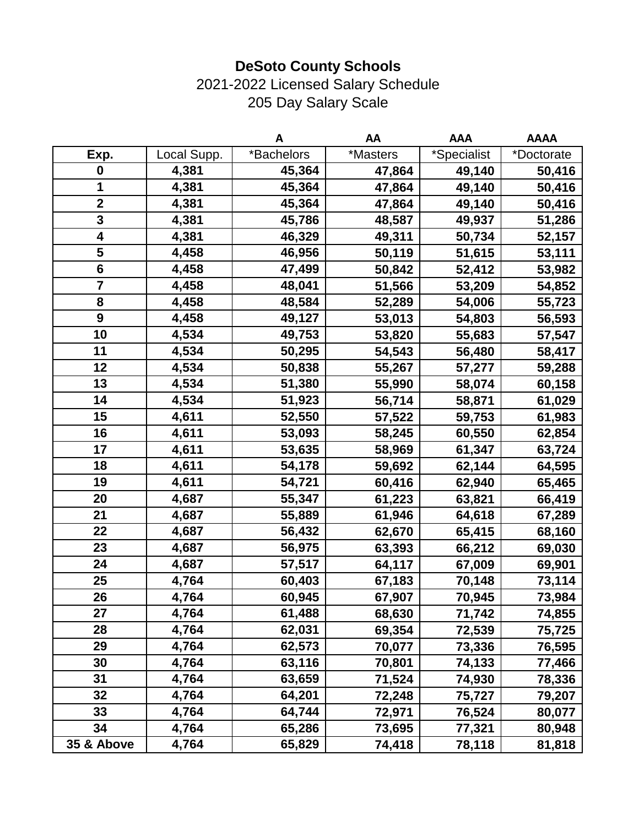### 2021-2022 Licensed Salary Schedule 205 Day Salary Scale

|                         |             | A          | AA       | <b>AAA</b>  | <b>AAAA</b> |
|-------------------------|-------------|------------|----------|-------------|-------------|
| Exp.                    | Local Supp. | *Bachelors | *Masters | *Specialist | *Doctorate  |
| $\boldsymbol{0}$        | 4,381       | 45,364     | 47,864   | 49,140      | 50,416      |
| $\mathbf 1$             | 4,381       | 45,364     | 47,864   | 49,140      | 50,416      |
| $\overline{\mathbf{2}}$ | 4,381       | 45,364     | 47,864   | 49,140      | 50,416      |
| 3                       | 4,381       | 45,786     | 48,587   | 49,937      | 51,286      |
| 4                       | 4,381       | 46,329     | 49,311   | 50,734      | 52,157      |
| 5                       | 4,458       | 46,956     | 50,119   | 51,615      | 53,111      |
| $6\phantom{1}6$         | 4,458       | 47,499     | 50,842   | 52,412      | 53,982      |
| $\overline{7}$          | 4,458       | 48,041     | 51,566   | 53,209      | 54,852      |
| 8                       | 4,458       | 48,584     | 52,289   | 54,006      | 55,723      |
| $\boldsymbol{9}$        | 4,458       | 49,127     | 53,013   | 54,803      | 56,593      |
| 10                      | 4,534       | 49,753     | 53,820   | 55,683      | 57,547      |
| 11                      | 4,534       | 50,295     | 54,543   | 56,480      | 58,417      |
| 12                      | 4,534       | 50,838     | 55,267   | 57,277      | 59,288      |
| 13                      | 4,534       | 51,380     | 55,990   | 58,074      | 60,158      |
| 14                      | 4,534       | 51,923     | 56,714   | 58,871      | 61,029      |
| 15                      | 4,611       | 52,550     | 57,522   | 59,753      | 61,983      |
| 16                      | 4,611       | 53,093     | 58,245   | 60,550      | 62,854      |
| 17                      | 4,611       | 53,635     | 58,969   | 61,347      | 63,724      |
| 18                      | 4,611       | 54,178     | 59,692   | 62,144      | 64,595      |
| 19                      | 4,611       | 54,721     | 60,416   | 62,940      | 65,465      |
| 20                      | 4,687       | 55,347     | 61,223   | 63,821      | 66,419      |
| 21                      | 4,687       | 55,889     | 61,946   | 64,618      | 67,289      |
| 22                      | 4,687       | 56,432     | 62,670   | 65,415      | 68,160      |
| 23                      | 4,687       | 56,975     | 63,393   | 66,212      | 69,030      |
| 24                      | 4,687       | 57,517     | 64,117   | 67,009      | 69,901      |
| 25                      | 4,764       | 60,403     | 67,183   | 70,148      | 73,114      |
| 26                      | 4,764       | 60,945     | 67,907   | 70,945      | 73,984      |
| 27                      | 4,764       | 61,488     | 68,630   | 71,742      | 74,855      |
| 28                      | 4,764       | 62,031     | 69,354   | 72,539      | 75,725      |
| 29                      | 4,764       | 62,573     | 70,077   | 73,336      | 76,595      |
| 30                      | 4,764       | 63,116     | 70,801   | 74,133      | 77,466      |
| 31                      | 4,764       | 63,659     | 71,524   | 74,930      | 78,336      |
| 32                      | 4,764       | 64,201     | 72,248   | 75,727      | 79,207      |
| 33                      | 4,764       | 64,744     | 72,971   | 76,524      | 80,077      |
| 34                      | 4,764       | 65,286     | 73,695   | 77,321      | 80,948      |
| 35 & Above              | 4,764       | 65,829     | 74,418   | 78,118      | 81,818      |